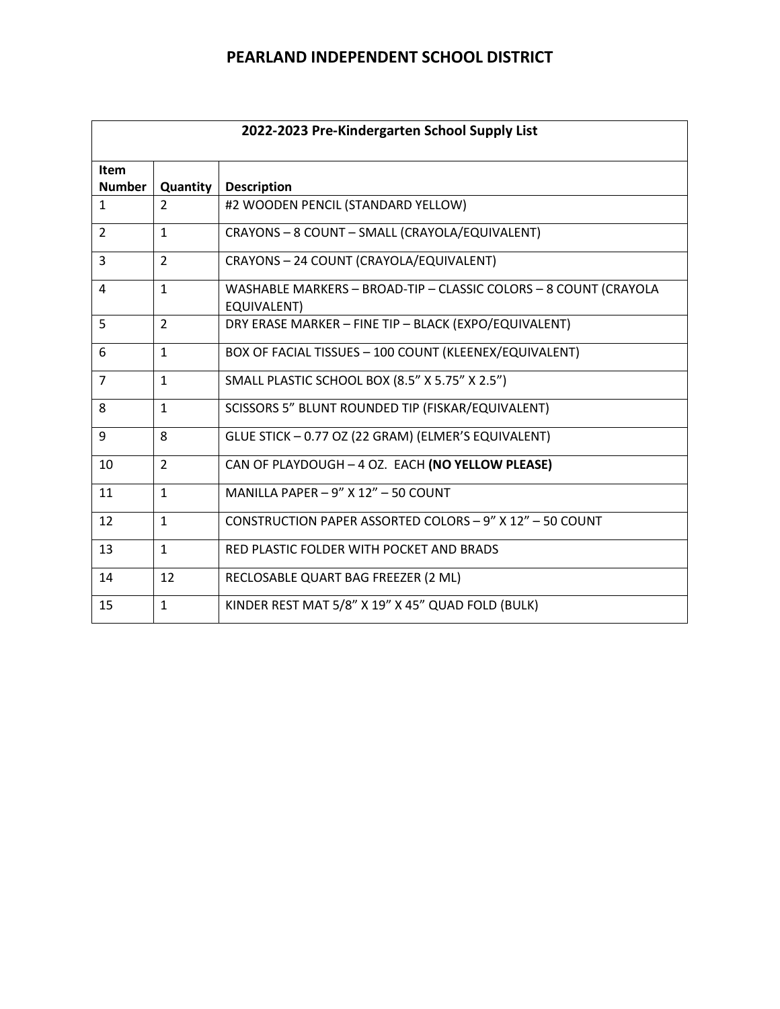| 2022-2023 Pre-Kindergarten School Supply List |                |                                                                                 |  |
|-----------------------------------------------|----------------|---------------------------------------------------------------------------------|--|
| <b>Item</b><br><b>Number</b>                  |                |                                                                                 |  |
|                                               | Quantity       | <b>Description</b>                                                              |  |
| $\mathbf{1}$                                  | $\mathcal{P}$  | #2 WOODEN PENCIL (STANDARD YELLOW)                                              |  |
| 2                                             | $\mathbf{1}$   | CRAYONS - 8 COUNT - SMALL (CRAYOLA/EQUIVALENT)                                  |  |
| 3                                             | $\overline{2}$ | CRAYONS - 24 COUNT (CRAYOLA/EQUIVALENT)                                         |  |
| 4                                             | $\mathbf{1}$   | WASHABLE MARKERS - BROAD-TIP - CLASSIC COLORS - 8 COUNT (CRAYOLA<br>EQUIVALENT) |  |
| 5                                             | $\overline{2}$ | DRY ERASE MARKER - FINE TIP - BLACK (EXPO/EQUIVALENT)                           |  |
| 6                                             | $\mathbf{1}$   | BOX OF FACIAL TISSUES - 100 COUNT (KLEENEX/EQUIVALENT)                          |  |
| $\overline{7}$                                | $\mathbf{1}$   | SMALL PLASTIC SCHOOL BOX (8.5" X 5.75" X 2.5")                                  |  |
| 8                                             | $\mathbf{1}$   | SCISSORS 5" BLUNT ROUNDED TIP (FISKAR/EQUIVALENT)                               |  |
| 9                                             | 8              | GLUE STICK - 0.77 OZ (22 GRAM) (ELMER'S EQUIVALENT)                             |  |
| 10                                            | $\overline{2}$ | CAN OF PLAYDOUGH - 4 OZ. EACH (NO YELLOW PLEASE)                                |  |
| 11                                            | $\mathbf{1}$   | MANILLA PAPER $-9''$ X 12" $-50$ COUNT                                          |  |
| 12                                            | $\mathbf{1}$   | CONSTRUCTION PAPER ASSORTED COLORS - 9" X 12" - 50 COUNT                        |  |
| 13                                            | $\mathbf{1}$   | RED PLASTIC FOLDER WITH POCKET AND BRADS                                        |  |
| 14                                            | 12             | RECLOSABLE QUART BAG FREEZER (2 ML)                                             |  |
| 15                                            | $\mathbf{1}$   | KINDER REST MAT 5/8" X 19" X 45" QUAD FOLD (BULK)                               |  |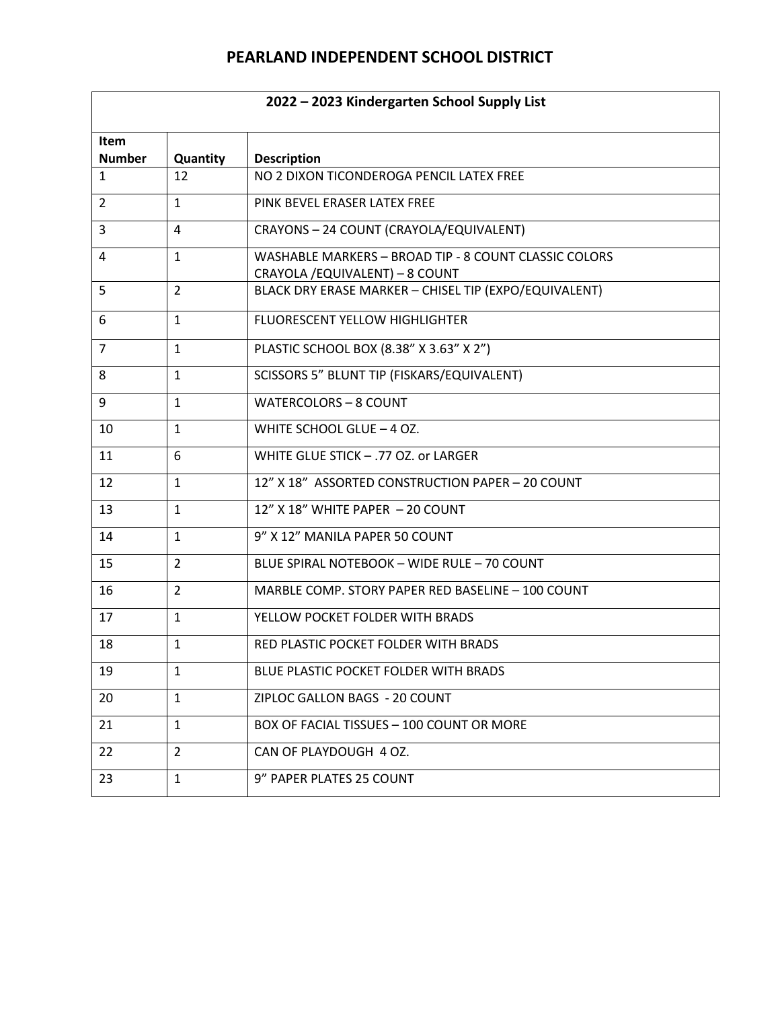| 2022 - 2023 Kindergarten School Supply List |                |                                                                                          |  |
|---------------------------------------------|----------------|------------------------------------------------------------------------------------------|--|
| Item<br><b>Number</b>                       | Quantity       | <b>Description</b>                                                                       |  |
| $\mathbf{1}$                                | 12             | NO 2 DIXON TICONDEROGA PENCIL LATEX FREE                                                 |  |
| $\overline{2}$                              | $\mathbf{1}$   | PINK BEVEL ERASER LATEX FREE                                                             |  |
| $\overline{3}$                              | 4              | CRAYONS - 24 COUNT (CRAYOLA/EQUIVALENT)                                                  |  |
| 4                                           | $\mathbf{1}$   | WASHABLE MARKERS - BROAD TIP - 8 COUNT CLASSIC COLORS<br>CRAYOLA / EQUIVALENT) - 8 COUNT |  |
| 5                                           | $\overline{2}$ | BLACK DRY ERASE MARKER - CHISEL TIP (EXPO/EQUIVALENT)                                    |  |
| 6                                           | $\mathbf{1}$   | FLUORESCENT YELLOW HIGHLIGHTER                                                           |  |
| 7                                           | $\mathbf{1}$   | PLASTIC SCHOOL BOX (8.38" X 3.63" X 2")                                                  |  |
| 8                                           | $\mathbf{1}$   | SCISSORS 5" BLUNT TIP (FISKARS/EQUIVALENT)                                               |  |
| 9                                           | $\mathbf{1}$   | <b>WATERCOLORS - 8 COUNT</b>                                                             |  |
| 10                                          | $\mathbf{1}$   | WHITE SCHOOL GLUE - 4 OZ.                                                                |  |
| 11                                          | 6              | WHITE GLUE STICK - .77 OZ. or LARGER                                                     |  |
| 12                                          | $\mathbf{1}$   | 12" X 18" ASSORTED CONSTRUCTION PAPER - 20 COUNT                                         |  |
| 13                                          | $\mathbf{1}$   | 12" X 18" WHITE PAPER - 20 COUNT                                                         |  |
| 14                                          | $\mathbf{1}$   | 9" X 12" MANILA PAPER 50 COUNT                                                           |  |
| 15                                          | $\overline{2}$ | BLUE SPIRAL NOTEBOOK - WIDE RULE - 70 COUNT                                              |  |
| 16                                          | $\overline{2}$ | MARBLE COMP. STORY PAPER RED BASELINE - 100 COUNT                                        |  |
| 17                                          | $\mathbf{1}$   | YELLOW POCKET FOLDER WITH BRADS                                                          |  |
| 18                                          | $\mathbf{1}$   | RED PLASTIC POCKET FOLDER WITH BRADS                                                     |  |
| 19                                          | $\mathbf{1}$   | BLUE PLASTIC POCKET FOLDER WITH BRADS                                                    |  |
| 20                                          | $\mathbf{1}$   | ZIPLOC GALLON BAGS - 20 COUNT                                                            |  |
| 21                                          | $\mathbf{1}$   | BOX OF FACIAL TISSUES - 100 COUNT OR MORE                                                |  |
| 22                                          | 2              | CAN OF PLAYDOUGH 4 OZ.                                                                   |  |
| 23                                          | $\mathbf{1}$   | 9" PAPER PLATES 25 COUNT                                                                 |  |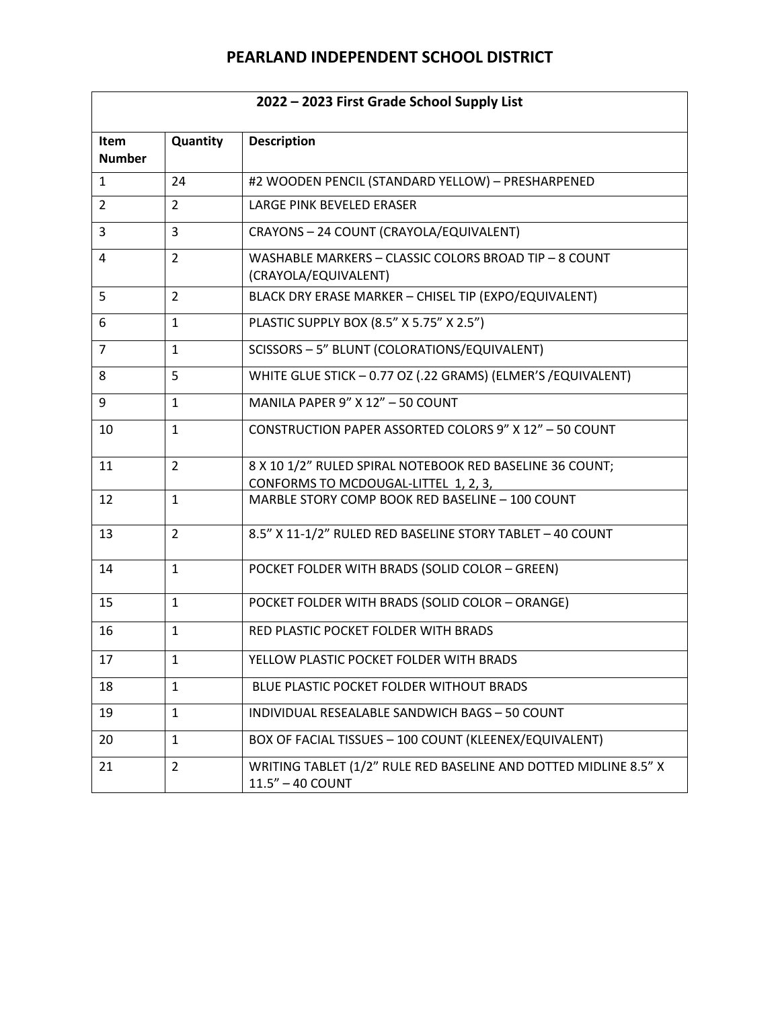| 2022 - 2023 First Grade School Supply List |                |                                                                                      |  |
|--------------------------------------------|----------------|--------------------------------------------------------------------------------------|--|
| Item<br><b>Number</b>                      | Quantity       | <b>Description</b>                                                                   |  |
| $\mathbf{1}$                               | 24             | #2 WOODEN PENCIL (STANDARD YELLOW) - PRESHARPENED                                    |  |
| 2                                          | $\overline{2}$ | LARGE PINK BEVELED ERASER                                                            |  |
| 3                                          | 3              | CRAYONS - 24 COUNT (CRAYOLA/EQUIVALENT)                                              |  |
| 4                                          | $\overline{2}$ | WASHABLE MARKERS - CLASSIC COLORS BROAD TIP - 8 COUNT<br>(CRAYOLA/EQUIVALENT)        |  |
| 5                                          | $\overline{2}$ | BLACK DRY ERASE MARKER - CHISEL TIP (EXPO/EQUIVALENT)                                |  |
| 6                                          | $\mathbf{1}$   | PLASTIC SUPPLY BOX (8.5" X 5.75" X 2.5")                                             |  |
| $\overline{7}$                             | $\mathbf{1}$   | SCISSORS - 5" BLUNT (COLORATIONS/EQUIVALENT)                                         |  |
| 8                                          | 5              | WHITE GLUE STICK - 0.77 OZ (.22 GRAMS) (ELMER'S /EQUIVALENT)                         |  |
| 9                                          | $\mathbf{1}$   | MANILA PAPER 9" X 12" - 50 COUNT                                                     |  |
| 10                                         | $\mathbf{1}$   | CONSTRUCTION PAPER ASSORTED COLORS 9" X 12" - 50 COUNT                               |  |
| 11                                         | $\overline{2}$ | 8 X 10 1/2" RULED SPIRAL NOTEBOOK RED BASELINE 36 COUNT;                             |  |
|                                            |                | CONFORMS TO MCDOUGAL-LITTEL 1, 2, 3,                                                 |  |
| 12                                         | $\mathbf{1}$   | MARBLE STORY COMP BOOK RED BASELINE - 100 COUNT                                      |  |
| 13                                         | $\overline{2}$ | 8.5" X 11-1/2" RULED RED BASELINE STORY TABLET - 40 COUNT                            |  |
| 14                                         | $\mathbf{1}$   | POCKET FOLDER WITH BRADS (SOLID COLOR - GREEN)                                       |  |
| 15                                         | $\mathbf{1}$   | POCKET FOLDER WITH BRADS (SOLID COLOR - ORANGE)                                      |  |
| 16                                         | $\mathbf{1}$   | RED PLASTIC POCKET FOLDER WITH BRADS                                                 |  |
| 17                                         | $\mathbf{1}$   | YELLOW PLASTIC POCKET FOLDER WITH BRADS                                              |  |
| 18                                         | $\mathbf{1}$   | BLUE PLASTIC POCKET FOLDER WITHOUT BRADS                                             |  |
| 19                                         | $\mathbf{1}$   | INDIVIDUAL RESEALABLE SANDWICH BAGS - 50 COUNT                                       |  |
| 20                                         | $\mathbf{1}$   | BOX OF FACIAL TISSUES - 100 COUNT (KLEENEX/EQUIVALENT)                               |  |
| 21                                         | $\overline{2}$ | WRITING TABLET (1/2" RULE RED BASELINE AND DOTTED MIDLINE 8.5" X<br>11.5" - 40 COUNT |  |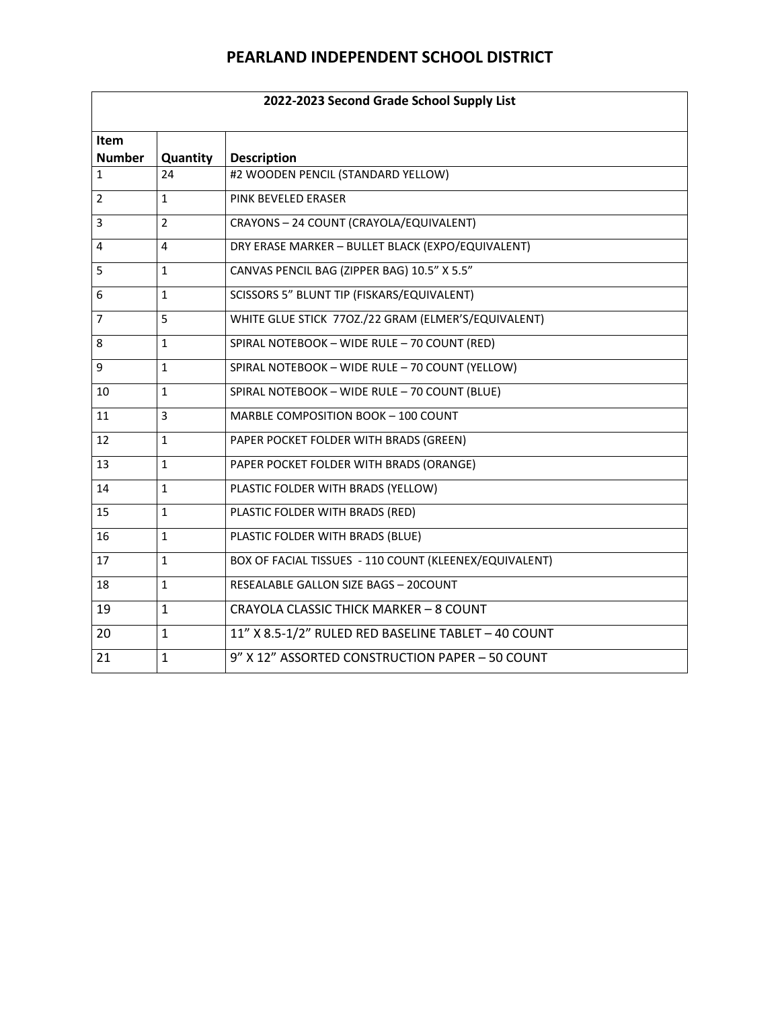| 2022-2023 Second Grade School Supply List |                |                                                        |  |
|-------------------------------------------|----------------|--------------------------------------------------------|--|
| <b>Item</b><br><b>Number</b>              | Quantity       | <b>Description</b>                                     |  |
| $\mathbf{1}$                              | 24             | #2 WOODEN PENCIL (STANDARD YELLOW)                     |  |
| $\overline{2}$                            | $\mathbf{1}$   | PINK BEVELED ERASER                                    |  |
| 3                                         | $\overline{2}$ | CRAYONS - 24 COUNT (CRAYOLA/EQUIVALENT)                |  |
| 4                                         | 4              | DRY ERASE MARKER - BULLET BLACK (EXPO/EQUIVALENT)      |  |
| 5                                         | $\mathbf{1}$   | CANVAS PENCIL BAG (ZIPPER BAG) 10.5" X 5.5"            |  |
| 6                                         | $\mathbf{1}$   | SCISSORS 5" BLUNT TIP (FISKARS/EQUIVALENT)             |  |
| $\overline{7}$                            | 5              | WHITE GLUE STICK 770Z./22 GRAM (ELMER'S/EQUIVALENT)    |  |
| 8                                         | $\mathbf{1}$   | SPIRAL NOTEBOOK - WIDE RULE - 70 COUNT (RED)           |  |
| 9                                         | $\mathbf{1}$   | SPIRAL NOTEBOOK - WIDE RULE - 70 COUNT (YELLOW)        |  |
| 10                                        | $\mathbf{1}$   | SPIRAL NOTEBOOK - WIDE RULE - 70 COUNT (BLUE)          |  |
| 11                                        | 3              | MARBLE COMPOSITION BOOK - 100 COUNT                    |  |
| 12                                        | $\mathbf{1}$   | PAPER POCKET FOLDER WITH BRADS (GREEN)                 |  |
| 13                                        | $\mathbf{1}$   | PAPER POCKET FOLDER WITH BRADS (ORANGE)                |  |
| 14                                        | $\mathbf 1$    | PLASTIC FOLDER WITH BRADS (YELLOW)                     |  |
| 15                                        | $\mathbf{1}$   | PLASTIC FOLDER WITH BRADS (RED)                        |  |
| 16                                        | $\mathbf{1}$   | PLASTIC FOLDER WITH BRADS (BLUE)                       |  |
| 17                                        | $\mathbf{1}$   | BOX OF FACIAL TISSUES - 110 COUNT (KLEENEX/EQUIVALENT) |  |
| 18                                        | $\mathbf{1}$   | RESEALABLE GALLON SIZE BAGS - 20COUNT                  |  |
| 19                                        | 1              | CRAYOLA CLASSIC THICK MARKER - 8 COUNT                 |  |
| 20                                        | $\mathbf{1}$   | 11" X 8.5-1/2" RULED RED BASELINE TABLET - 40 COUNT    |  |
| 21                                        | $\mathbf{1}$   | 9" X 12" ASSORTED CONSTRUCTION PAPER - 50 COUNT        |  |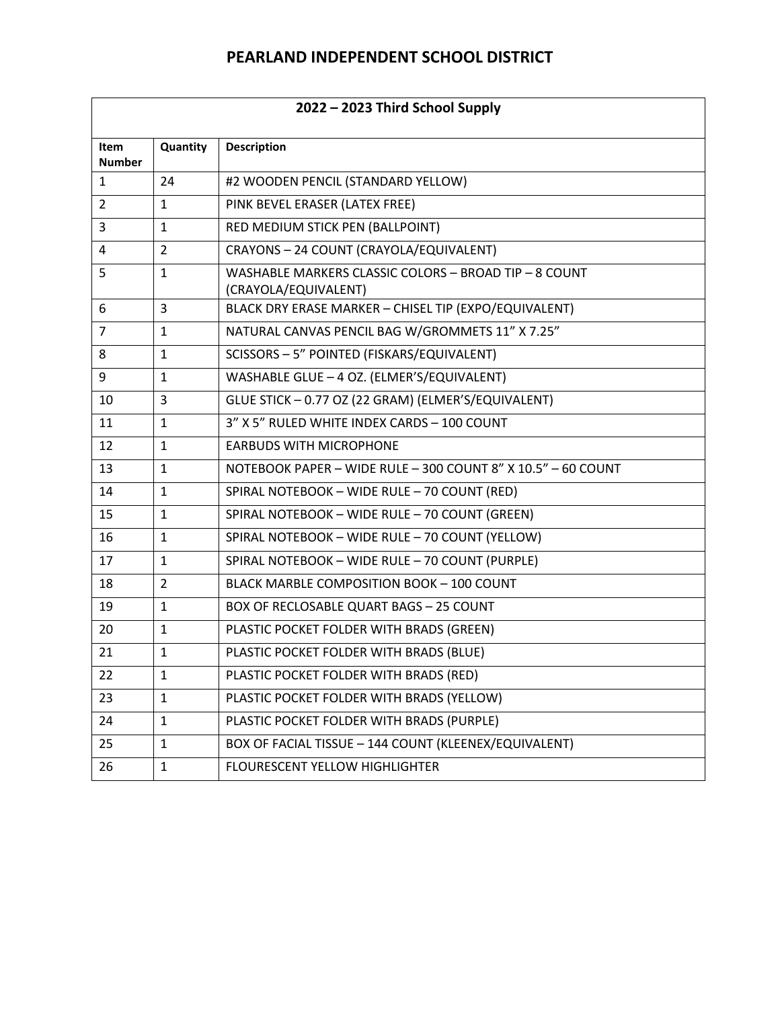| 2022 - 2023 Third School Supply |                |                                                                               |  |
|---------------------------------|----------------|-------------------------------------------------------------------------------|--|
| <b>Item</b><br><b>Number</b>    | Quantity       | <b>Description</b>                                                            |  |
| $\mathbf{1}$                    | 24             | #2 WOODEN PENCIL (STANDARD YELLOW)                                            |  |
| 2                               | $\mathbf{1}$   | PINK BEVEL ERASER (LATEX FREE)                                                |  |
| 3                               | $\mathbf{1}$   | RED MEDIUM STICK PEN (BALLPOINT)                                              |  |
| 4                               | $\overline{2}$ | CRAYONS - 24 COUNT (CRAYOLA/EQUIVALENT)                                       |  |
| 5                               | $\mathbf{1}$   | WASHABLE MARKERS CLASSIC COLORS - BROAD TIP - 8 COUNT<br>(CRAYOLA/EQUIVALENT) |  |
| 6                               | 3              | BLACK DRY ERASE MARKER - CHISEL TIP (EXPO/EQUIVALENT)                         |  |
| $\overline{7}$                  | $\mathbf{1}$   | NATURAL CANVAS PENCIL BAG W/GROMMETS 11" X 7.25"                              |  |
| 8                               | $\mathbf{1}$   | SCISSORS - 5" POINTED (FISKARS/EQUIVALENT)                                    |  |
| 9                               | $\mathbf{1}$   | WASHABLE GLUE - 4 OZ. (ELMER'S/EQUIVALENT)                                    |  |
| 10                              | 3              | GLUE STICK - 0.77 OZ (22 GRAM) (ELMER'S/EQUIVALENT)                           |  |
| 11                              | $\mathbf{1}$   | 3" X 5" RULED WHITE INDEX CARDS - 100 COUNT                                   |  |
| 12                              | $\mathbf{1}$   | <b>EARBUDS WITH MICROPHONE</b>                                                |  |
| 13                              | $\mathbf{1}$   | NOTEBOOK PAPER - WIDE RULE - 300 COUNT 8" X 10.5" - 60 COUNT                  |  |
| 14                              | $\mathbf{1}$   | SPIRAL NOTEBOOK - WIDE RULE - 70 COUNT (RED)                                  |  |
| 15                              | $\mathbf{1}$   | SPIRAL NOTEBOOK - WIDE RULE - 70 COUNT (GREEN)                                |  |
| 16                              | $\mathbf{1}$   | SPIRAL NOTEBOOK - WIDE RULE - 70 COUNT (YELLOW)                               |  |
| 17                              | $\mathbf{1}$   | SPIRAL NOTEBOOK - WIDE RULE - 70 COUNT (PURPLE)                               |  |
| 18                              | $\overline{2}$ | BLACK MARBLE COMPOSITION BOOK - 100 COUNT                                     |  |
| 19                              | $\mathbf{1}$   | <b>BOX OF RECLOSABLE QUART BAGS - 25 COUNT</b>                                |  |
| 20                              | $\mathbf{1}$   | PLASTIC POCKET FOLDER WITH BRADS (GREEN)                                      |  |
| 21                              | $\mathbf{1}$   | PLASTIC POCKET FOLDER WITH BRADS (BLUE)                                       |  |
| 22                              | $\mathbf{1}$   | PLASTIC POCKET FOLDER WITH BRADS (RED)                                        |  |
| 23                              | $\mathbf{1}$   | PLASTIC POCKET FOLDER WITH BRADS (YELLOW)                                     |  |
| 24                              | $\mathbf{1}$   | PLASTIC POCKET FOLDER WITH BRADS (PURPLE)                                     |  |
| 25                              | $\mathbf{1}$   | BOX OF FACIAL TISSUE - 144 COUNT (KLEENEX/EQUIVALENT)                         |  |
| 26                              | $\mathbf{1}$   | FLOURESCENT YELLOW HIGHLIGHTER                                                |  |